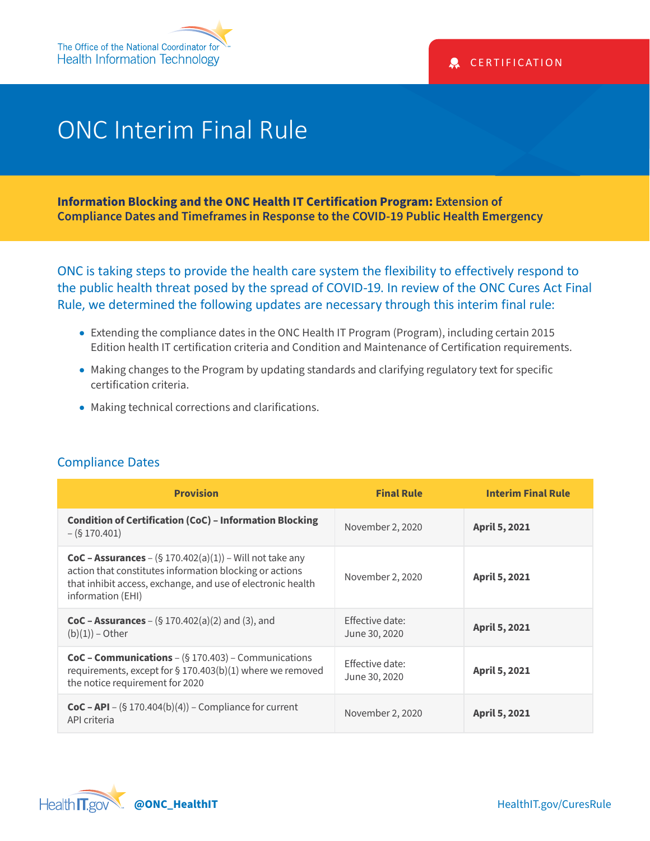## ONC Interim Final Rule

**Information Blocking and the ONC Health IT Certification Program: Extension of Compliance Dates and Timeframes in Response to the COVID-19 Public Health Emergency**

ONC is taking steps to provide the health care system the flexibility to effectively respond to the public health threat posed by the spread of COVID-19. In review of the ONC Cures Act Final Rule, we determined the following updates are necessary through this interim final rule:

- Extending the compliance dates in the ONC Health IT Program (Program), including certain 2015 Edition health IT certification criteria and Condition and Maintenance of Certification requirements.
- Making changes to the Program by updating standards and clarifying regulatory text for specific certification criteria.
- Making technical corrections and clarifications.

| <b>Provision</b>                                                                                                                                                                                                  | <b>Final Rule</b>                       | <b>Interim Final Rule</b> |
|-------------------------------------------------------------------------------------------------------------------------------------------------------------------------------------------------------------------|-----------------------------------------|---------------------------|
| <b>Condition of Certification (CoC) - Information Blocking</b><br>$-(\$170.401)$                                                                                                                                  | November 2, 2020                        | <b>April 5, 2021</b>      |
| <b>CoC - Assurances</b> – $(\$ 170.402(a)(1))$ – Will not take any<br>action that constitutes information blocking or actions<br>that inhibit access, exchange, and use of electronic health<br>information (EHI) | November 2, 2020                        | <b>April 5, 2021</b>      |
| <b>CoC – Assurances</b> – $(\S 170.402(a)(2)$ and (3), and<br>$(b)(1))$ – Other                                                                                                                                   | <b>Effective date:</b><br>June 30, 2020 | <b>April 5, 2021</b>      |
| <b>CoC - Communications</b> – $(\S 170.403)$ – Communications<br>requirements, except for § 170.403(b)(1) where we removed<br>the notice requirement for 2020                                                     | <b>Effective date:</b><br>June 30, 2020 | April 5, 2021             |
| <b>CoC – API</b> – $(\$ 170.404(b)(4))$ – Compliance for current<br>API criteria                                                                                                                                  | November 2, 2020                        | <b>April 5, 2021</b>      |

## Compliance Dates